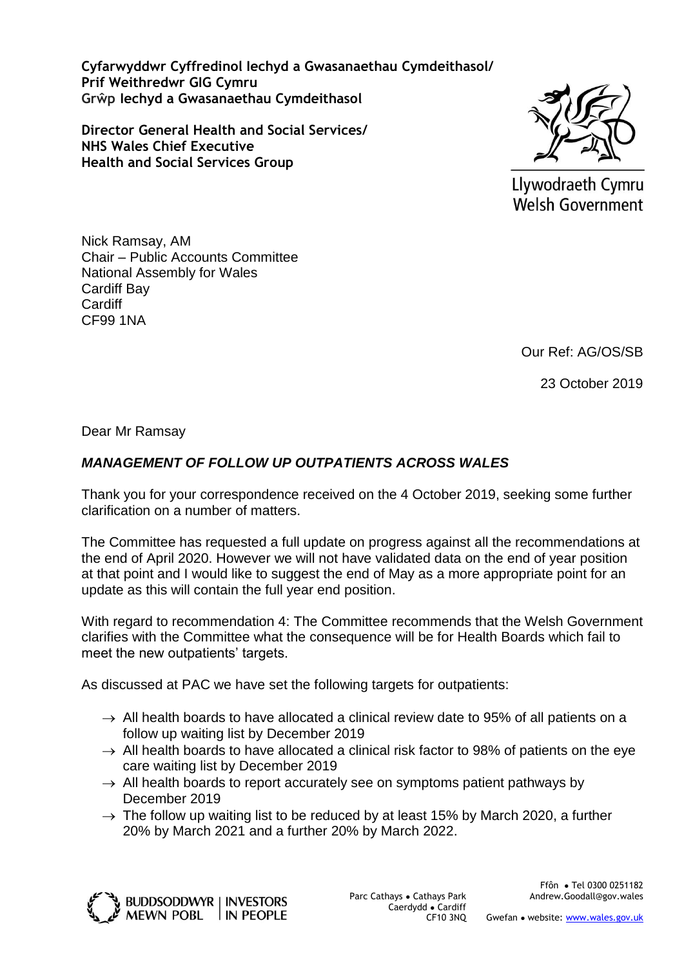**Cyfarwyddwr Cyffredinol Iechyd a Gwasanaethau Cymdeithasol/ Prif Weithredwr GIG Cymru Grŵp Iechyd a Gwasanaethau Cymdeithasol**

**Director General Health and Social Services/ NHS Wales Chief Executive Health and Social Services Group**



Llywodraeth Cymru **Welsh Government** 

Nick Ramsay, AM Chair – Public Accounts Committee National Assembly for Wales Cardiff Bay **Cardiff** CF99 1NA

Our Ref: AG/OS/SB

23 October 2019

Dear Mr Ramsay

## *MANAGEMENT OF FOLLOW UP OUTPATIENTS ACROSS WALES*

Thank you for your correspondence received on the 4 October 2019, seeking some further clarification on a number of matters.

The Committee has requested a full update on progress against all the recommendations at the end of April 2020. However we will not have validated data on the end of year position at that point and I would like to suggest the end of May as a more appropriate point for an update as this will contain the full year end position.

With regard to recommendation 4: The Committee recommends that the Welsh Government clarifies with the Committee what the consequence will be for Health Boards which fail to meet the new outpatients' targets.

As discussed at PAC we have set the following targets for outpatients:

- $\rightarrow$  All health boards to have allocated a clinical review date to 95% of all patients on a follow up waiting list by December 2019
- $\rightarrow$  All health boards to have allocated a clinical risk factor to 98% of patients on the eye care waiting list by December 2019
- $\rightarrow$  All health boards to report accurately see on symptoms patient pathways by December 2019
- $\rightarrow$  The follow up waiting list to be reduced by at least 15% by March 2020, a further 20% by March 2021 and a further 20% by March 2022.